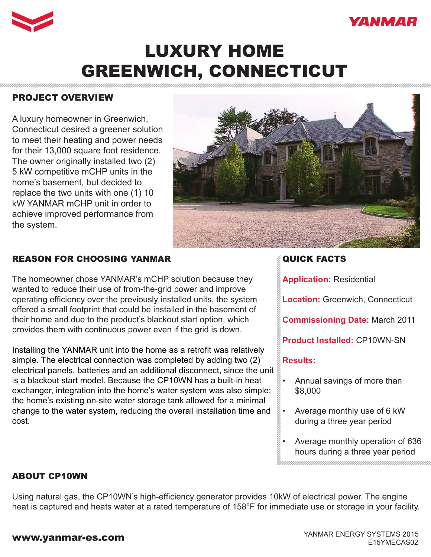



# LUXURY HOME GREENWICH, CONNECTICUT

## PROJECT OVERVIEW

A luxury homeowner in Greenwich, Connecticut desired a greener solution to meet their heating and power needs for their 13,000 square foot residence. The owner originally installed two (2) 5 kW competitive mCHP units in the home's basement, but decided to replace the two units with one (1) 10 kW YANMAR mCHP unit in order to achieve improved performance from the system.



## REASON FOR CHOOSING YANMAR

The homeowner chose YANMAR's mCHP solution because they wanted to reduce their use of from-the-grid power and improve operating efficiency over the previously installed units, the system offered a small footprint that could be installed in the basement of their home and due to the product's blackout start option, which provides them with continuous power even if the grid is down.

Installing the YANMAR unit into the home as a retrofit was relatively simple. The electrical connection was completed by adding two (2) electrical panels, batteries and an additional disconnect, since the unit is a blackout start model. Because the CP10WN has a built-in heat exchanger, integration into the home's water system was also simple; the home's existing on-site water storage tank allowed for a minimal change to the water system, reducing the overall installation time and cost.

## QUICK FACTS

**Application:** Residential

**Location:** Greenwich, Connecticut

**Commissioning Date:** March 2011

**Product Installed:** CP10WN-SN

#### **Results:**

- Annual savings of more than \$8,000
- Average monthly use of 6 kW during a three year period
- Average monthly operation of 636 hours during a three year period

### ABOUT CP10WN

Using natural gas, the CP10WN's high-efficiency generator provides 10kW of electrical power. The engine heat is captured and heats water at a rated temperature of 158°F for immediate use or storage in your facility.